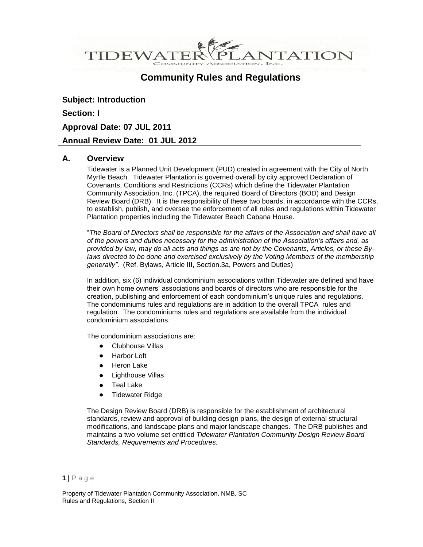**VTATION** TIDEWATEF

# **Community Rules and Regulations**

**Subject: Introduction Section: I Approval Date: 07 JUL 2011 Annual Review Date: 01 JUL 2012**

### **A. Overview**

Tidewater is a Planned Unit Development (PUD) created in agreement with the City of North Myrtle Beach. Tidewater Plantation is governed overall by city approved Declaration of Covenants, Conditions and Restrictions (CCRs) which define the Tidewater Plantation Community Association, Inc. (TPCA), the required Board of Directors (BOD) and Design Review Board (DRB). It is the responsibility of these two boards, in accordance with the CCRs, to establish, publish, and oversee the enforcement of all rules and regulations within Tidewater Plantation properties including the Tidewater Beach Cabana House.

"*The Board of Directors shall be responsible for the affairs of the Association and shall have all of the powers and duties necessary for the administration of the Association's affairs and, as provided by law, may do all acts and things as are not by the Covenants, Articles, or these Bylaws directed to be done and exercised exclusively by the Voting Members of the membership generally"*. (Ref. Bylaws, Article III, Section.3a, Powers and Duties)

In addition, six (6) individual condominium associations within Tidewater are defined and have their own home owners' associations and boards of directors who are responsible for the creation, publishing and enforcement of each condominium's unique rules and regulations. The condominiums rules and regulations are in addition to the overall TPCA rules and regulation. The condominiums rules and regulations are available from the individual condominium associations.

The condominium associations are:

- $\bullet$ Clubhouse Villas
- Harbor Loft
- Heron Lake  $\bullet$
- Lighthouse Villas
- Teal Lake  $\bullet$
- Tidewater Ridge  $\bullet$

The Design Review Board (DRB) is responsible for the establishment of architectural standards, review and approval of building design plans, the design of external structural modifications, and landscape plans and major landscape changes. The DRB publishes and maintains a two volume set entitled *Tidewater Plantation Community Design Review Board Standards, Requirements and Procedures.*

**<sup>1</sup> |** P a g e

Property of Tidewater Plantation Community Association, NMB, SC Rules and Regulations, Section II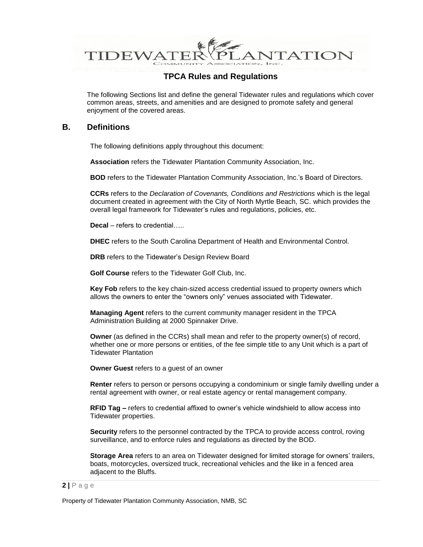

The following Sections list and define the general Tidewater rules and regulations which cover common areas, streets, and amenities and are designed to promote safety and general enjoyment of the covered areas.

### **B. Definitions**

The following definitions apply throughout this document:

**Association** refers the Tidewater Plantation Community Association, Inc.

**BOD** refers to the Tidewater Plantation Community Association, Inc.'s Board of Directors.

**CCRs** refers to the *Declaration of Covenants, Conditions and Restrictions* which is the legal document created in agreement with the City of North Myrtle Beach, SC. which provides the overall legal framework for Tidewater's rules and regulations, policies, etc.

**Decal** – refers to credential…..

**DHEC** refers to the South Carolina Department of Health and Environmental Control.

**DRB** refers to the Tidewater's Design Review Board

**Golf Course** refers to the Tidewater Golf Club, Inc.

**Key Fob** refers to the key chain-sized access credential issued to property owners which allows the owners to enter the "owners only" venues associated with Tidewater.

**Managing Agent** refers to the current community manager resident in the TPCA Administration Building at 2000 Spinnaker Drive.

**Owner** (as defined in the CCRs) shall mean and refer to the property owner(s) of record, whether one or more persons or entities, of the fee simple title to any Unit which is a part of Tidewater Plantation

**Owner Guest** refers to a guest of an owner

**Renter** refers to person or persons occupying a condominium or single family dwelling under a rental agreement with owner, or real estate agency or rental management company.

**RFID Tag –** refers to credential affixed to owner's vehicle windshield to allow access into Tidewater properties.

**Security** refers to the personnel contracted by the TPCA to provide access control, roving surveillance, and to enforce rules and regulations as directed by the BOD.

**Storage Area** refers to an area on Tidewater designed for limited storage for owners' trailers, boats, motorcycles, oversized truck, recreational vehicles and the like in a fenced area adjacent to the Bluffs.

#### **2 |** P a g e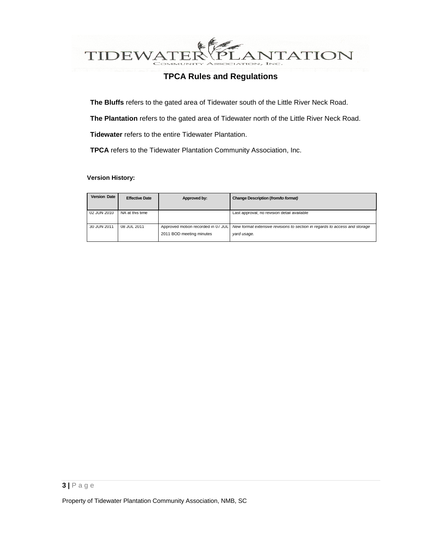

**The Bluffs** refers to the gated area of Tidewater south of the Little River Neck Road.

**The Plantation** refers to the gated area of Tidewater north of the Little River Neck Road.

**Tidewater** refers to the entire Tidewater Plantation.

**TPCA** refers to the Tidewater Plantation Community Association, Inc.

#### **Version History:**

| <b>Version Date</b> | <b>Effective Date</b> | Approved by:                                                   | Change Description (from/to format)                                                       |
|---------------------|-----------------------|----------------------------------------------------------------|-------------------------------------------------------------------------------------------|
| 02 JUN 2010         | NA at this time       |                                                                | Last approval; no revision detail available                                               |
| 30 JUN 2011         | 08 JUL 2011           | Approved motion recorded in 07 JUL<br>2011 BOD meeting minutes | New format extensive revisions to section in regards to access and storage<br>yard usage. |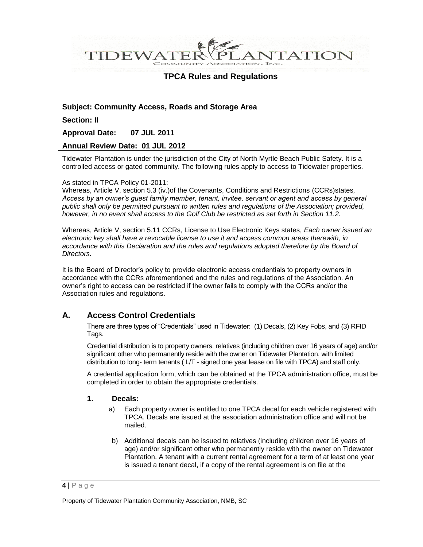ANTATION TIDEWATE

## **TPCA Rules and Regulations**

### **Subject: Community Access, Roads and Storage Area**

**Section: II**

**Approval Date: 07 JUL 2011**

#### **Annual Review Date: 01 JUL 2012**

Tidewater Plantation is under the jurisdiction of the City of North Myrtle Beach Public Safety. It is a controlled access or gated community. The following rules apply to access to Tidewater properties.

#### As stated in TPCA Policy 01-2011:

Whereas, Article V, section 5.3 (iv.)of the Covenants, Conditions and Restrictions (CCRs)states*, Access by an owner's guest family member, tenant, invitee, servant or agent and access by general public shall only be permitted pursuant to written rules and regulations of the Association; provided, however, in no event shall access to the Golf Club be restricted as set forth in Section 11.2.*

Whereas, Article V, section 5.11 CCRs, License to Use Electronic Keys states, *Each owner issued an electronic key shall have a revocable license to use it and access common areas therewith, in accordance with this Declaration and the rules and regulations adopted therefore by the Board of Directors.*

It is the Board of Director's policy to provide electronic access credentials to property owners in accordance with the CCRs aforementioned and the rules and regulations of the Association. An owner's right to access can be restricted if the owner fails to comply with the CCRs and/or the Association rules and regulations.

### **A. Access Control Credentials**

There are three types of "Credentials" used in Tidewater: (1) Decals, (2) Key Fobs, and (3) RFID Tags.

Credential distribution is to property owners, relatives (including children over 16 years of age) and/or significant other who permanently reside with the owner on Tidewater Plantation, with limited distribution to long- term tenants ( L/T - signed one year lease on file with TPCA) and staff only.

A credential application form, which can be obtained at the TPCA administration office, must be completed in order to obtain the appropriate credentials.

### **1. Decals:**

- a) Each property owner is entitled to one TPCA decal for each vehicle registered with TPCA. Decals are issued at the association administration office and will not be mailed.
- b) Additional decals can be issued to relatives (including children over 16 years of age) and/or significant other who permanently reside with the owner on Tidewater Plantation. A tenant with a current rental agreement for a term of at least one year is issued a tenant decal, if a copy of the rental agreement is on file at the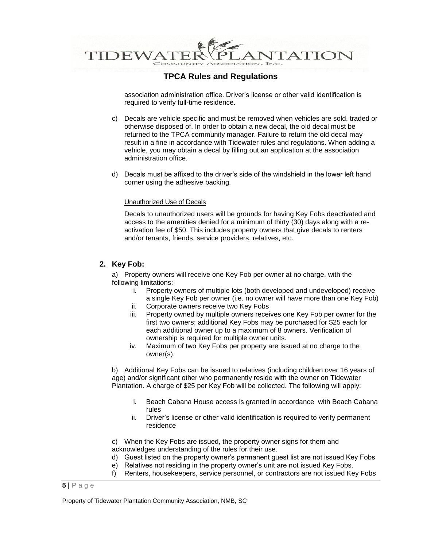

association administration office. Driver's license or other valid identification is required to verify full-time residence.

- c) Decals are vehicle specific and must be removed when vehicles are sold, traded or otherwise disposed of. In order to obtain a new decal, the old decal must be returned to the TPCA community manager. Failure to return the old decal may result in a fine in accordance with Tidewater rules and regulations. When adding a vehicle, you may obtain a decal by filling out an application at the association administration office.
- d) Decals must be affixed to the driver's side of the windshield in the lower left hand corner using the adhesive backing.

#### Unauthorized Use of Decals

Decals to unauthorized users will be grounds for having Key Fobs deactivated and access to the amenities denied for a minimum of thirty (30) days along with a reactivation fee of \$50. This includes property owners that give decals to renters and/or tenants, friends, service providers, relatives, etc.

#### **2. Key Fob:**

a) Property owners will receive one Key Fob per owner at no charge, with the following limitations:

- i. Property owners of multiple lots (both developed and undeveloped) receive a single Key Fob per owner (i.e. no owner will have more than one Key Fob)
- ii. Corporate owners receive two Key Fobs
- iii. Property owned by multiple owners receives one Key Fob per owner for the first two owners; additional Key Fobs may be purchased for \$25 each for each additional owner up to a maximum of 8 owners. Verification of ownership is required for multiple owner units.
- iv. Maximum of two Key Fobs per property are issued at no charge to the owner(s).

b) Additional Key Fobs can be issued to relatives (including children over 16 years of age) and/or significant other who permanently reside with the owner on Tidewater Plantation. A charge of \$25 per Key Fob will be collected. The following will apply:

- i. Beach Cabana House access is granted in accordance with Beach Cabana rules
- ii. Driver's license or other valid identification is required to verify permanent residence

c) When the Key Fobs are issued, the property owner signs for them and acknowledges understanding of the rules for their use.

- d) Guest listed on the property owner's permanent guest list are not issued Key Fobs
- e) Relatives not residing in the property owner's unit are not issued Key Fobs.
- f) Renters, housekeepers, service personnel, or contractors are not issued Key Fobs

#### **5 |** P a g e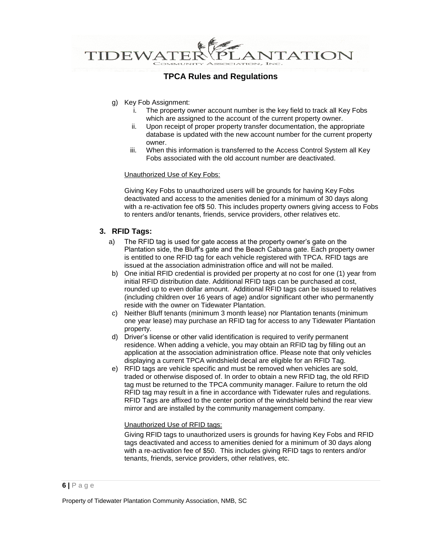

- g) Key Fob Assignment:
	- i. The property owner account number is the key field to track all Key Fobs which are assigned to the account of the current property owner.
	- ii. Upon receipt of proper property transfer documentation, the appropriate database is updated with the new account number for the current property owner.
	- iii. When this information is transferred to the Access Control System all Key Fobs associated with the old account number are deactivated.

#### Unauthorized Use of Key Fobs:

Giving Key Fobs to unauthorized users will be grounds for having Key Fobs deactivated and access to the amenities denied for a minimum of 30 days along with a re-activation fee of\$ 50. This includes property owners giving access to Fobs to renters and/or tenants, friends, service providers, other relatives etc.

#### **3. RFID Tags:**

- a) The RFID tag is used for gate access at the property owner's gate on the Plantation side, the Bluff's gate and the Beach Cabana gate. Each property owner is entitled to one RFID tag for each vehicle registered with TPCA. RFID tags are issued at the association administration office and will not be mailed.
- b) One initial RFID credential is provided per property at no cost for one (1) year from initial RFID distribution date. Additional RFID tags can be purchased at cost, rounded up to even dollar amount. Additional RFID tags can be issued to relatives (including children over 16 years of age) and/or significant other who permanently reside with the owner on Tidewater Plantation.
- c) Neither Bluff tenants (minimum 3 month lease) nor Plantation tenants (minimum one year lease) may purchase an RFID tag for access to any Tidewater Plantation property.
- d) Driver's license or other valid identification is required to verify permanent residence. When adding a vehicle, you may obtain an RFID tag by filling out an application at the association administration office. Please note that only vehicles displaying a current TPCA windshield decal are eligible for an RFID Tag.
- e) RFID tags are vehicle specific and must be removed when vehicles are sold, traded or otherwise disposed of. In order to obtain a new RFID tag, the old RFID tag must be returned to the TPCA community manager. Failure to return the old RFID tag may result in a fine in accordance with Tidewater rules and regulations. RFID Tags are affixed to the center portion of the windshield behind the rear view mirror and are installed by the community management company.

#### Unauthorized Use of RFID tags:

Giving RFID tags to unauthorized users is grounds for having Key Fobs and RFID tags deactivated and access to amenities denied for a minimum of 30 days along with a re-activation fee of \$50. This includes giving RFID tags to renters and/or tenants, friends, service providers, other relatives, etc.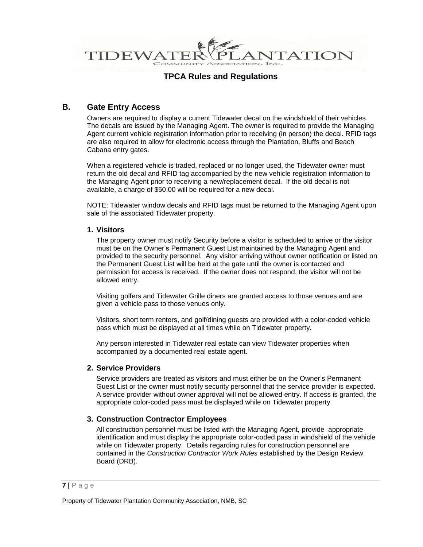**NTATION** TIDEWA

## **TPCA Rules and Regulations**

## **B. Gate Entry Access**

Owners are required to display a current Tidewater decal on the windshield of their vehicles. The decals are issued by the Managing Agent. The owner is required to provide the Managing Agent current vehicle registration information prior to receiving (in person) the decal. RFID tags are also required to allow for electronic access through the Plantation, Bluffs and Beach Cabana entry gates.

When a registered vehicle is traded, replaced or no longer used, the Tidewater owner must return the old decal and RFID tag accompanied by the new vehicle registration information to the Managing Agent prior to receiving a new/replacement decal. If the old decal is not available, a charge of \$50.00 will be required for a new decal.

NOTE: Tidewater window decals and RFID tags must be returned to the Managing Agent upon sale of the associated Tidewater property.

#### **1. Visitors**

The property owner must notify Security before a visitor is scheduled to arrive or the visitor must be on the Owner's Permanent Guest List maintained by the Managing Agent and provided to the security personnel. Any visitor arriving without owner notification or listed on the Permanent Guest List will be held at the gate until the owner is contacted and permission for access is received. If the owner does not respond, the visitor will not be allowed entry.

Visiting golfers and Tidewater Grille diners are granted access to those venues and are given a vehicle pass to those venues only.

Visitors, short term renters, and golf/dining guests are provided with a color-coded vehicle pass which must be displayed at all times while on Tidewater property.

Any person interested in Tidewater real estate can view Tidewater properties when accompanied by a documented real estate agent.

#### **2. Service Providers**

Service providers are treated as visitors and must either be on the Owner's Permanent Guest List or the owner must notify security personnel that the service provider is expected. A service provider without owner approval will not be allowed entry. If access is granted, the appropriate color-coded pass must be displayed while on Tidewater property.

### **3. Construction Contractor Employees**

All construction personnel must be listed with the Managing Agent, provide appropriate identification and must display the appropriate color-coded pass in windshield of the vehicle while on Tidewater property. Details regarding rules for construction personnel are contained in the *Construction Contractor Work Rules* established by the Design Review Board (DRB).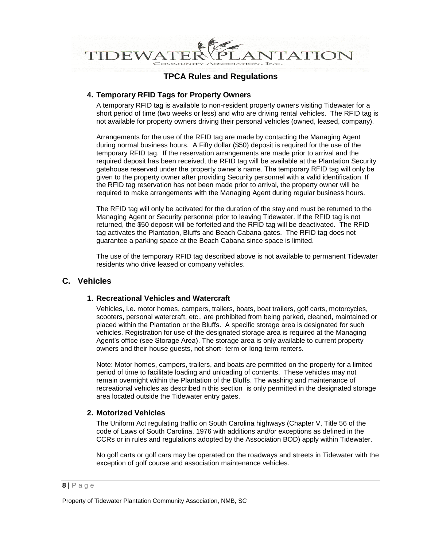

### **4. Temporary RFID Tags for Property Owners**

A temporary RFID tag is available to non-resident property owners visiting Tidewater for a short period of time (two weeks or less) and who are driving rental vehicles. The RFID tag is not available for property owners driving their personal vehicles (owned, leased, company).

Arrangements for the use of the RFID tag are made by contacting the Managing Agent during normal business hours. A Fifty dollar (\$50) deposit is required for the use of the temporary RFID tag. If the reservation arrangements are made prior to arrival and the required deposit has been received, the RFID tag will be available at the Plantation Security gatehouse reserved under the property owner's name. The temporary RFID tag will only be given to the property owner after providing Security personnel with a valid identification. If the RFID tag reservation has not been made prior to arrival, the property owner will be required to make arrangements with the Managing Agent during regular business hours.

The RFID tag will only be activated for the duration of the stay and must be returned to the Managing Agent or Security personnel prior to leaving Tidewater. If the RFID tag is not returned, the \$50 deposit will be forfeited and the RFID tag will be deactivated. The RFID tag activates the Plantation, Bluffs and Beach Cabana gates. The RFID tag does not guarantee a parking space at the Beach Cabana since space is limited.

The use of the temporary RFID tag described above is not available to permanent Tidewater residents who drive leased or company vehicles.

### **C. Vehicles**

#### **1. Recreational Vehicles and Watercraft**

Vehicles, i.e. motor homes, campers, trailers, boats, boat trailers, golf carts, motorcycles, scooters, personal watercraft, etc., are prohibited from being parked, cleaned, maintained or placed within the Plantation or the Bluffs. A specific storage area is designated for such vehicles. Registration for use of the designated storage area is required at the Managing Agent's office (see Storage Area). The storage area is only available to current property owners and their house guests, not short- term or long-term renters.

Note: Motor homes, campers, trailers, and boats are permitted on the property for a limited period of time to facilitate loading and unloading of contents. These vehicles may not remain overnight within the Plantation of the Bluffs. The washing and maintenance of recreational vehicles as described n this section is only permitted in the designated storage area located outside the Tidewater entry gates.

#### **2. Motorized Vehicles**

The Uniform Act regulating traffic on South Carolina highways (Chapter V, Title 56 of the code of Laws of South Carolina, 1976 with additions and/or exceptions as defined in the CCRs or in rules and regulations adopted by the Association BOD) apply within Tidewater.

No golf carts or golf cars may be operated on the roadways and streets in Tidewater with the exception of golf course and association maintenance vehicles.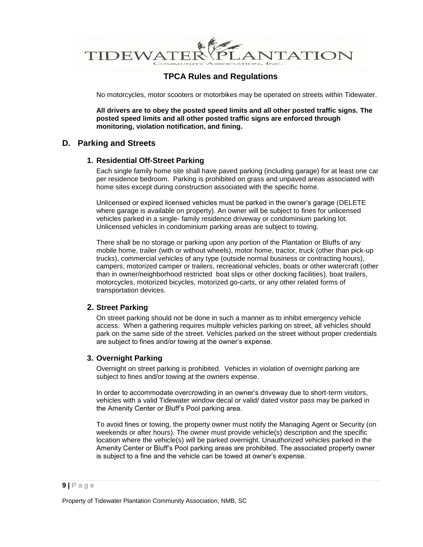

No motorcycles, motor scooters or motorbikes may be operated on streets within Tidewater.

**All drivers are to obey the posted speed limits and all other posted traffic signs. The posted speed limits and all other posted traffic signs are enforced through monitoring, violation notification, and fining.** 

### **D. Parking and Streets**

#### **1. Residential Off-Street Parking**

Each single family home site shall have paved parking (including garage) for at least one car per residence bedroom. Parking is prohibited on grass and unpaved areas associated with home sites except during construction associated with the specific home.

Unlicensed or expired licensed vehicles must be parked in the owner's garage (DELETE where garage is available on property). An owner will be subject to fines for unlicensed vehicles parked in a single- family residence driveway or condominium parking lot. Unlicensed vehicles in condominium parking areas are subject to towing.

There shall be no storage or parking upon any portion of the Plantation or Bluffs of any mobile home, trailer (with or without wheels), motor home, tractor, truck (other than pick-up trucks), commercial vehicles of any type (outside normal business or contracting hours), campers, motorized camper or trailers, recreational vehicles, boats or other watercraft (other than in owner/neighborhood restricted boat slips or other docking facilities), boat trailers, motorcycles, motorized bicycles, motorized go-carts, or any other related forms of transportation devices.

### **2. Street Parking**

On street parking should not be done in such a manner as to inhibit emergency vehicle access. When a gathering requires multiple vehicles parking on street, all vehicles should park on the same side of the street. Vehicles parked on the street without proper credentials are subject to fines and/or towing at the owner's expense.

### **3. Overnight Parking**

Overnight on street parking is prohibited. Vehicles in violation of overnight parking are subject to fines and/or towing at the owners expense.

In order to accommodate overcrowding in an owner's driveway due to short-term visitors, vehicles with a valid Tidewater window decal or valid/ dated visitor pass may be parked in the Amenity Center or Bluff's Pool parking area.

To avoid fines or towing, the property owner must notify the Managing Agent or Security (on weekends or after hours). The owner must provide vehicle(s) description and the specific location where the vehicle(s) will be parked overnight. Unauthorized vehicles parked in the Amenity Center or Bluff's Pool parking areas are prohibited. The associated property owner is subject to a fine and the vehicle can be towed at owner's expense.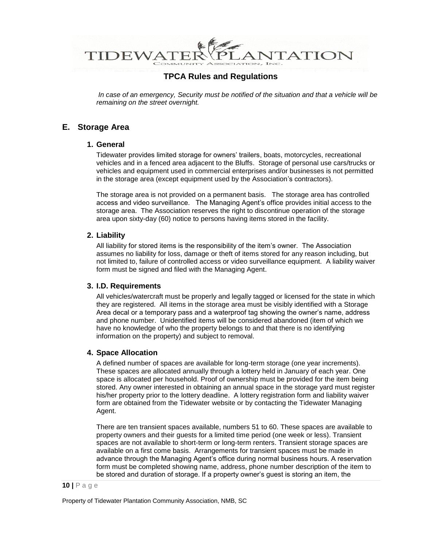

In case of an emergency, Security must be notified of the situation and that a vehicle will be *remaining on the street overnight.* 

## **E. Storage Area**

#### **1. General**

Tidewater provides limited storage for owners' trailers, boats, motorcycles, recreational vehicles and in a fenced area adjacent to the Bluffs. Storage of personal use cars/trucks or vehicles and equipment used in commercial enterprises and/or businesses is not permitted in the storage area (except equipment used by the Association's contractors).

The storage area is not provided on a permanent basis. The storage area has controlled access and video surveillance. The Managing Agent's office provides initial access to the storage area. The Association reserves the right to discontinue operation of the storage area upon sixty-day (60) notice to persons having items stored in the facility.

### **2. Liability**

All liability for stored items is the responsibility of the item's owner. The Association assumes no liability for loss, damage or theft of items stored for any reason including, but not limited to, failure of controlled access or video surveillance equipment. A liability waiver form must be signed and filed with the Managing Agent.

#### **3. I.D. Requirements**

All vehicles/watercraft must be properly and legally tagged or licensed for the state in which they are registered. All items in the storage area must be visibly identified with a Storage Area decal or a temporary pass and a waterproof tag showing the owner's name, address and phone number. Unidentified items will be considered abandoned (item of which we have no knowledge of who the property belongs to and that there is no identifying information on the property) and subject to removal.

### **4. Space Allocation**

A defined number of spaces are available for long-term storage (one year increments). These spaces are allocated annually through a lottery held in January of each year. One space is allocated per household. Proof of ownership must be provided for the item being stored. Any owner interested in obtaining an annual space in the storage yard must register his/her property prior to the lottery deadline. A lottery registration form and liability waiver form are obtained from the Tidewater website or by contacting the Tidewater Managing Agent.

There are ten transient spaces available, numbers 51 to 60. These spaces are available to property owners and their guests for a limited time period (one week or less). Transient spaces are not available to short-term or long-term renters. Transient storage spaces are available on a first come basis. Arrangements for transient spaces must be made in advance through the Managing Agent's office during normal business hours. A reservation form must be completed showing name, address, phone number description of the item to be stored and duration of storage. If a property owner's guest is storing an item, the

#### **10 |** P a g e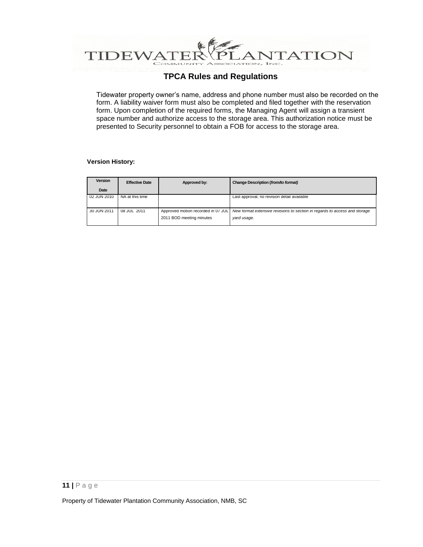

Tidewater property owner's name, address and phone number must also be recorded on the form. A liability waiver form must also be completed and filed together with the reservation form. Upon completion of the required forms, the Managing Agent will assign a transient space number and authorize access to the storage area. This authorization notice must be presented to Security personnel to obtain a FOB for access to the storage area.

#### **Version History:**

| Version     | <b>Effective Date</b> | Approved by:                                                   | Change Description (from/to format)                                                       |
|-------------|-----------------------|----------------------------------------------------------------|-------------------------------------------------------------------------------------------|
| Date        |                       |                                                                |                                                                                           |
| 02 JUN 2010 | NA at this time       |                                                                | Last approval; no revision detail available                                               |
| 30 JUN 2011 | 08 JUL 2011           | Approved motion recorded in 07 JUL<br>2011 BOD meeting minutes | New format extensive revisions to section in regards to access and storage<br>yard usage. |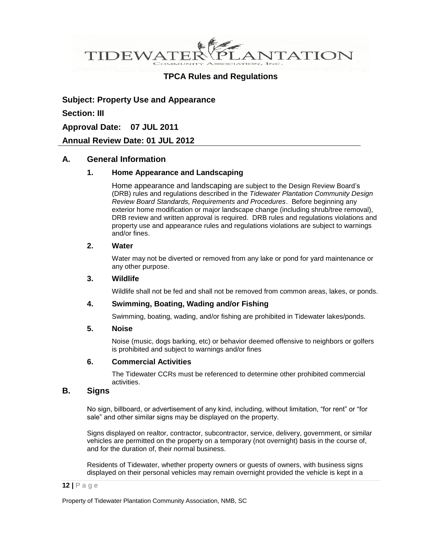**VTATION** DEWA<sup>®</sup>

## **TPCA Rules and Regulations**

**Subject: Property Use and Appearance Section: III Approval Date: 07 JUL 2011**

**Annual Review Date: 01 JUL 2012**

### **A. General Information**

### **1. Home Appearance and Landscaping**

Home appearance and landscaping are subject to the Design Review Board's (DRB) rules and regulations described in the *Tidewater Plantation Community Design Review Board Standards, Requirements and Procedures*. Before beginning any exterior home modification or major landscape change (including shrub/tree removal), DRB review and written approval is required. DRB rules and regulations violations and property use and appearance rules and regulations violations are subject to warnings and/or fines.

#### **2. Water**

Water may not be diverted or removed from any lake or pond for yard maintenance or any other purpose.

#### **3. Wildlife**

Wildlife shall not be fed and shall not be removed from common areas, lakes, or ponds.

### **4. Swimming, Boating, Wading and/or Fishing**

Swimming, boating, wading, and/or fishing are prohibited in Tidewater lakes/ponds.

#### **5. Noise**

Noise (music, dogs barking, etc) or behavior deemed offensive to neighbors or golfers is prohibited and subject to warnings and/or fines

#### **6. Commercial Activities**

The Tidewater CCRs must be referenced to determine other prohibited commercial activities.

### **B. Signs**

No sign, billboard, or advertisement of any kind, including, without limitation, "for rent" or "for sale" and other similar signs may be displayed on the property.

Signs displayed on realtor, contractor, subcontractor, service, delivery, government, or similar vehicles are permitted on the property on a temporary (not overnight) basis in the course of, and for the duration of, their normal business.

Residents of Tidewater, whether property owners or guests of owners, with business signs displayed on their personal vehicles may remain overnight provided the vehicle is kept in a

#### **12 |** P a g e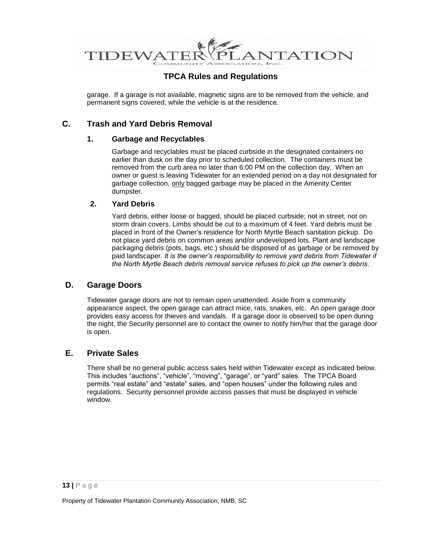

garage. If a garage is not available, magnetic signs are to be removed from the vehicle, and permanent signs covered, while the vehicle is at the residence.

## **C. Trash and Yard Debris Removal**

### **1. Garbage and Recyclables**

Garbage and recyclables must be placed curbside in the designated containers no earlier than dusk on the day prior to scheduled collection. The containers must be removed from the curb area no later than 6:00 PM on the collection day. When an owner or guest is leaving Tidewater for an extended period on a day not designated for garbage collection, only bagged garbage may be placed in the Amenity Center dumpster.

### **2. Yard Debris**

Yard debris, either loose or bagged, should be placed curbside; not in street, not on storm drain covers. Limbs should be cut to a maximum of 4 feet. Yard debris must be placed in front of the Owner's residence for North Myrtle Beach sanitation pickup. Do not place yard debris on common areas and/or undeveloped lots. Plant and landscape packaging debris (pots, bags, etc.) should be disposed of as garbage or be removed by paid landscaper. *It is the owner's responsibility to remove yard debris from Tidewater if the North Myrtle Beach debris removal service refuses to pick up the owner's debris.*

### **D. Garage Doors**

Tidewater garage doors are not to remain open unattended. Aside from a community appearance aspect, the open garage can attract mice, rats, snakes, etc. An open garage door provides easy access for thieves and vandals. If a garage door is observed to be open during the night, the Security personnel are to contact the owner to notify him/her that the garage door is open.

### **E. Private Sales**

There shall be no general public access sales held within Tidewater except as indicated below. This includes "auctions", "vehicle", "moving", "garage", or "yard" sales. The TPCA Board permits "real estate" and "estate" sales, and "open houses" under the following rules and regulations. Security personnel provide access passes that must be displayed in vehicle window.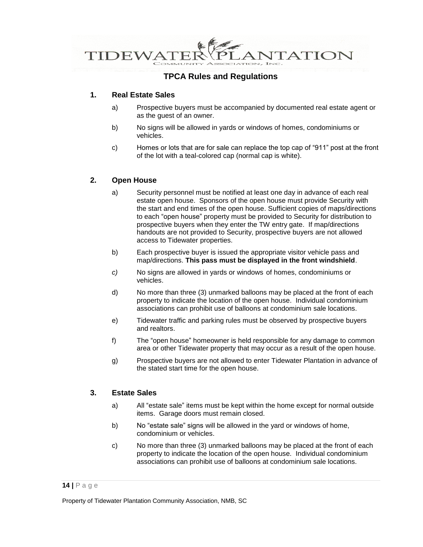

### **1. Real Estate Sales**

- a) Prospective buyers must be accompanied by documented real estate agent or as the guest of an owner.
- b) No signs will be allowed in yards or windows of homes, condominiums or vehicles.
- c) Homes or lots that are for sale can replace the top cap of "911" post at the front of the lot with a teal-colored cap (normal cap is white).

### **2. Open House**

- a) Security personnel must be notified at least one day in advance of each real estate open house. Sponsors of the open house must provide Security with the start and end times of the open house. Sufficient copies of maps/directions to each "open house" property must be provided to Security for distribution to prospective buyers when they enter the TW entry gate. If map/directions handouts are not provided to Security, prospective buyers are not allowed access to Tidewater properties.
- b) Each prospective buyer is issued the appropriate visitor vehicle pass and map/directions. **This pass must be displayed in the front windshield**.
- *c)* No signs are allowed in yards or windows of homes, condominiums or vehicles.
- d) No more than three (3) unmarked balloons may be placed at the front of each property to indicate the location of the open house. Individual condominium associations can prohibit use of balloons at condominium sale locations.
- e) Tidewater traffic and parking rules must be observed by prospective buyers and realtors.
- f) The "open house" homeowner is held responsible for any damage to common area or other Tidewater property that may occur as a result of the open house.
- g) Prospective buyers are not allowed to enter Tidewater Plantation in advance of the stated start time for the open house.

### **3. Estate Sales**

- a) All "estate sale" items must be kept within the home except for normal outside items. Garage doors must remain closed.
- b) No "estate sale" signs will be allowed in the yard or windows of home, condominium or vehicles.
- c) No more than three (3) unmarked balloons may be placed at the front of each property to indicate the location of the open house. Individual condominium associations can prohibit use of balloons at condominium sale locations.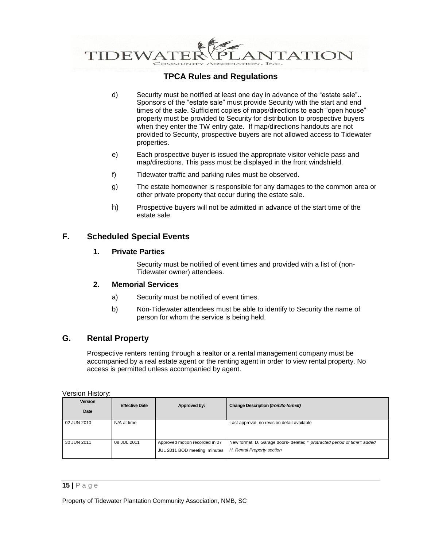

- d) Security must be notified at least one day in advance of the "estate sale".. Sponsors of the "estate sale" must provide Security with the start and end times of the sale. Sufficient copies of maps/directions to each "open house" property must be provided to Security for distribution to prospective buyers when they enter the TW entry gate. If map/directions handouts are not provided to Security, prospective buyers are not allowed access to Tidewater properties.
- e) Each prospective buyer is issued the appropriate visitor vehicle pass and map/directions. This pass must be displayed in the front windshield.
- f) Tidewater traffic and parking rules must be observed.
- g) The estate homeowner is responsible for any damages to the common area or other private property that occur during the estate sale.
- h) Prospective buyers will not be admitted in advance of the start time of the estate sale.

## **F. Scheduled Special Events**

#### **1. Private Parties**

Security must be notified of event times and provided with a list of (non-Tidewater owner) attendees.

### **2. Memorial Services**

- a) Security must be notified of event times.
- b) Non-Tidewater attendees must be able to identify to Security the name of person for whom the service is being held.

### **G. Rental Property**

Prospective renters renting through a realtor or a rental management company must be accompanied by a real estate agent or the renting agent in order to view rental property. No access is permitted unless accompanied by agent.

Version History:

| <b>Version</b><br>Date | <b>Effective Date</b> | Approved by:                                                   | Change Description (from/to format)                                                                     |
|------------------------|-----------------------|----------------------------------------------------------------|---------------------------------------------------------------------------------------------------------|
| 02 JUN 2010            | N/A at time           |                                                                | Last approval; no revision detail available                                                             |
| 30 JUN 2011            | 08 JUL 2011           | Approved motion recorded in 07<br>JUL 2011 BOD meeting minutes | New format: D. Garage doors- deleted "' protracted period of time"; added<br>H. Rental Property section |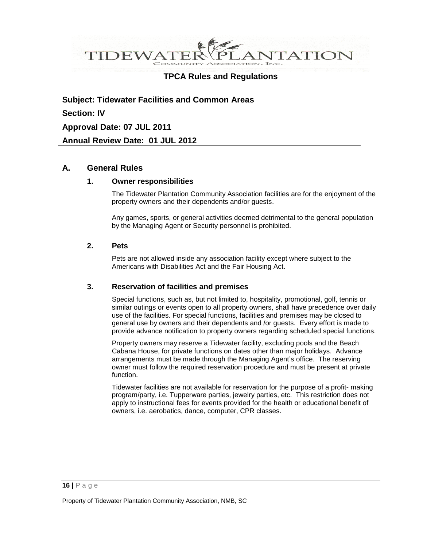

**Subject: Tidewater Facilities and Common Areas Section: IV Approval Date: 07 JUL 2011 Annual Review Date: 01 JUL 2012**

### **A. General Rules**

#### **1. Owner responsibilities**

The Tidewater Plantation Community Association facilities are for the enjoyment of the property owners and their dependents and/or guests.

Any games, sports, or general activities deemed detrimental to the general population by the Managing Agent or Security personnel is prohibited.

#### **2. Pets**

Pets are not allowed inside any association facility except where subject to the Americans with Disabilities Act and the Fair Housing Act.

### **3. Reservation of facilities and premises**

Special functions, such as, but not limited to, hospitality, promotional, golf, tennis or similar outings or events open to all property owners, shall have precedence over daily use of the facilities. For special functions, facilities and premises may be closed to general use by owners and their dependents and /or guests*.* Every effort is made to provide advance notification to property owners regarding scheduled special functions.

Property owners may reserve a Tidewater facility, excluding pools and the Beach Cabana House, for private functions on dates other than major holidays. Advance arrangements must be made through the Managing Agent's office. The reserving owner must follow the required reservation procedure and must be present at private function.

Tidewater facilities are not available for reservation for the purpose of a profit- making program/party, i.e. Tupperware parties, jewelry parties, etc. This restriction does not apply to instructional fees for events provided for the health or educational benefit of owners, i.e. aerobatics, dance, computer, CPR classes.

#### **16 |** P a g e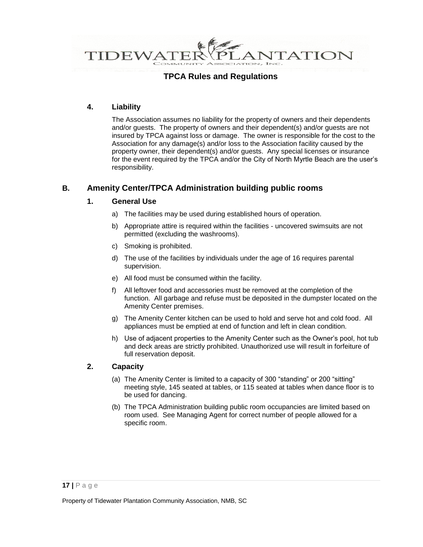

### **4. Liability**

The Association assumes no liability for the property of owners and their dependents and/or guests. The property of owners and their dependent(s) and/or guests are not insured by TPCA against loss or damage. The owner is responsible for the cost to the Association for any damage(s) and/or loss to the Association facility caused by the property owner, their dependent(s) and/or guests. Any special licenses or insurance for the event required by the TPCA and/or the City of North Myrtle Beach are the user's responsibility.

## **B. Amenity Center/TPCA Administration building public rooms**

### **1. General Use**

- a) The facilities may be used during established hours of operation.
- b) Appropriate attire is required within the facilities uncovered swimsuits are not permitted (excluding the washrooms).
- c) Smoking is prohibited.
- d) The use of the facilities by individuals under the age of 16 requires parental supervision.
- e) All food must be consumed within the facility.
- f) All leftover food and accessories must be removed at the completion of the function. All garbage and refuse must be deposited in the dumpster located on the Amenity Center premises.
- g) The Amenity Center kitchen can be used to hold and serve hot and cold food. All appliances must be emptied at end of function and left in clean condition.
- h) Use of adjacent properties to the Amenity Center such as the Owner's pool, hot tub and deck areas are strictly prohibited. Unauthorized use will result in forfeiture of full reservation deposit.

### **2. Capacity**

- (a) The Amenity Center is limited to a capacity of 300 "standing" or 200 "sitting" meeting style, 145 seated at tables, or 115 seated at tables when dance floor is to be used for dancing.
- (b) The TPCA Administration building public room occupancies are limited based on room used. See Managing Agent for correct number of people allowed for a specific room.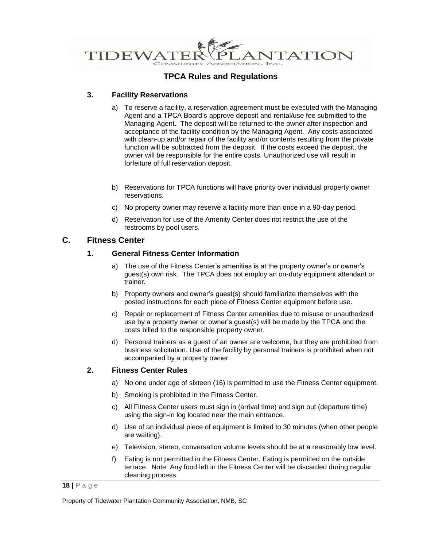

### **3. Facility Reservations**

- a) To reserve a facility, a reservation agreement must be executed with the Managing Agent and a TPCA Board's approve deposit and rental/use fee submitted to the Managing Agent. The deposit will be returned to the owner after inspection and acceptance of the facility condition by the Managing Agent. Any costs associated with clean-up and/or repair of the facility and/or contents resulting from the private function will be subtracted from the deposit. If the costs exceed the deposit, the owner will be responsible for the entire costs. Unauthorized use will result in forfeiture of full reservation deposit.
- b) Reservations for TPCA functions will have priority over individual property owner reservations.
- c) No property owner may reserve a facility more than once in a 90-day period.
- d) Reservation for use of the Amenity Center does not restrict the use of the restrooms by pool users.

## **C. Fitness Center**

### **1. General Fitness Center Information**

- a) The use of the Fitness Center's amenities is at the property owner's or owner's guest(s) own risk. The TPCA does not employ an on-duty equipment attendant or trainer.
- b) Property owners and owner's guest(s) should familiarize themselves with the posted instructions for each piece of Fitness Center equipment before use.
- c) Repair or replacement of Fitness Center amenities due to misuse or unauthorized use by a property owner or owner's guest(s) will be made by the TPCA and the costs billed to the responsible property owner.
- d) Personal trainers as a guest of an owner are welcome, but they are prohibited from business solicitation. Use of the facility by personal trainers is prohibited when not accompanied by a property owner.

### **2. Fitness Center Rules**

- a) No one under age of sixteen (16) is permitted to use the Fitness Center equipment.
- b) Smoking is prohibited in the Fitness Center.
- c) All Fitness Center users must sign in (arrival time) and sign out (departure time) using the sign-in log located near the main entrance.
- d) Use of an individual piece of equipment is limited to 30 minutes (when other people are waiting).
- e) Television, stereo, conversation volume levels should be at a reasonably low level.
- f) Eating is not permitted in the Fitness Center. Eating is permitted on the outside terrace. Note: Any food left in the Fitness Center will be discarded during regular cleaning process.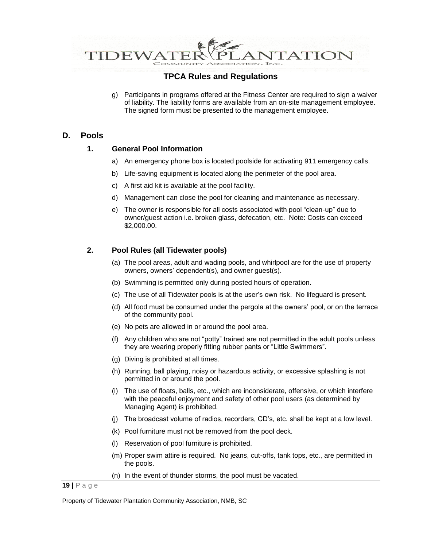

g) Participants in programs offered at the Fitness Center are required to sign a waiver of liability. The liability forms are available from an on-site management employee. The signed form must be presented to the management employee.

### **D. Pools**

#### **1. General Pool Information**

- a) An emergency phone box is located poolside for activating 911 emergency calls.
- b) Life-saving equipment is located along the perimeter of the pool area.
- c) A first aid kit is available at the pool facility.
- d) Management can close the pool for cleaning and maintenance as necessary.
- e) The owner is responsible for all costs associated with pool "clean-up" due to owner/guest action i.e. broken glass, defecation, etc. Note: Costs can exceed \$2,000.00.

### **2. Pool Rules (all Tidewater pools)**

- (a) The pool areas, adult and wading pools, and whirlpool are for the use of property owners, owners' dependent(s), and owner guest(s).
- (b) Swimming is permitted only during posted hours of operation.
- (c) The use of all Tidewater pools is at the user's own risk. No lifeguard is present.
- (d) All food must be consumed under the pergola at the owners' pool, or on the terrace of the community pool.
- (e) No pets are allowed in or around the pool area.
- (f) Any children who are not "potty" trained are not permitted in the adult pools unless they are wearing properly fitting rubber pants or "Little Swimmers".
- (g) Diving is prohibited at all times.
- (h) Running, ball playing, noisy or hazardous activity, or excessive splashing is not permitted in or around the pool.
- (i) The use of floats, balls, etc., which are inconsiderate, offensive, or which interfere with the peaceful enjoyment and safety of other pool users (as determined by Managing Agent) is prohibited.
- (j) The broadcast volume of radios, recorders, CD's, etc. shall be kept at a low level.
- (k) Pool furniture must not be removed from the pool deck.
- (l) Reservation of pool furniture is prohibited.
- (m) Proper swim attire is required. No jeans, cut-offs, tank tops, etc., are permitted in the pools.
- (n) In the event of thunder storms, the pool must be vacated.

**<sup>19</sup> |** P a g e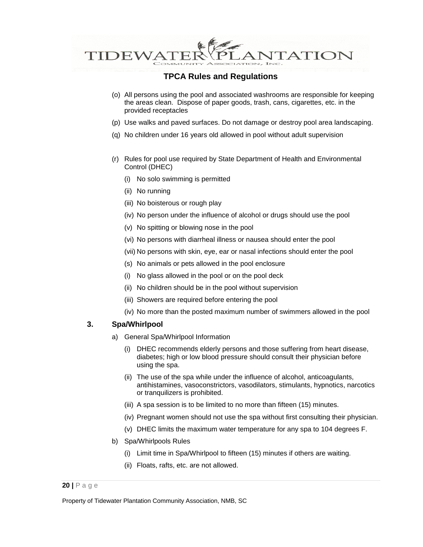

- (o) All persons using the pool and associated washrooms are responsible for keeping the areas clean. Dispose of paper goods, trash, cans, cigarettes, etc. in the provided receptacles
- (p) Use walks and paved surfaces. Do not damage or destroy pool area landscaping.
- (q) No children under 16 years old allowed in pool without adult supervision
- (r) Rules for pool use required by State Department of Health and Environmental Control (DHEC)
	- (i) No solo swimming is permitted
	- (ii) No running
	- (iii) No boisterous or rough play
	- (iv) No person under the influence of alcohol or drugs should use the pool
	- (v) No spitting or blowing nose in the pool
	- (vi) No persons with diarrheal illness or nausea should enter the pool
	- (vii) No persons with skin, eye, ear or nasal infections should enter the pool
	- (s) No animals or pets allowed in the pool enclosure
	- (i) No glass allowed in the pool or on the pool deck
	- (ii) No children should be in the pool without supervision
	- (iii) Showers are required before entering the pool
	- (iv) No more than the posted maximum number of swimmers allowed in the pool

### **3. Spa/Whirlpool**

- a) General Spa/Whirlpool Information
	- (i) DHEC recommends elderly persons and those suffering from heart disease, diabetes; high or low blood pressure should consult their physician before using the spa.
	- (ii) The use of the spa while under the influence of alcohol, anticoagulants, antihistamines, vasoconstrictors, vasodilators, stimulants, hypnotics, narcotics or tranquilizers is prohibited.
	- (iii) A spa session is to be limited to no more than fifteen (15) minutes.
	- (iv) Pregnant women should not use the spa without first consulting their physician.
	- (v) DHEC limits the maximum water temperature for any spa to 104 degrees F.
- b) Spa/Whirlpools Rules
	- (i) Limit time in Spa/Whirlpool to fifteen (15) minutes if others are waiting.
	- (ii) Floats, rafts, etc. are not allowed.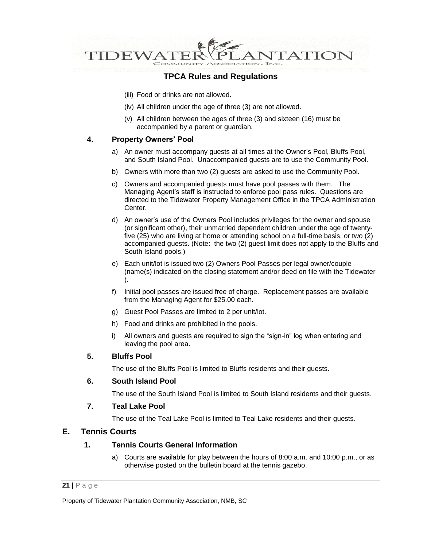

- (iii) Food or drinks are not allowed.
- (iv) All children under the age of three (3) are not allowed.
- (v) All children between the ages of three (3) and sixteen (16) must be accompanied by a parent or guardian.

### **4. Property Owners' Pool**

- a) An owner must accompany guests at all times at the Owner's Pool, Bluffs Pool, and South Island Pool. Unaccompanied guests are to use the Community Pool.
- b) Owners with more than two (2) guests are asked to use the Community Pool.
- c) Owners and accompanied guests must have pool passes with them. The Managing Agent's staff is instructed to enforce pool pass rules. Questions are directed to the Tidewater Property Management Office in the TPCA Administration Center.
- d) An owner's use of the Owners Pool includes privileges for the owner and spouse (or significant other), their unmarried dependent children under the age of twentyfive (25) who are living at home or attending school on a full-time basis, or two (2) accompanied guests. (Note: the two (2) guest limit does not apply to the Bluffs and South Island pools.)
- e) Each unit/lot is issued two (2) Owners Pool Passes per legal owner/couple (name(s) indicated on the closing statement and/or deed on file with the Tidewater ).
- f) Initial pool passes are issued free of charge. Replacement passes are available from the Managing Agent for \$25.00 each.
- g) Guest Pool Passes are limited to 2 per unit/lot.
- h) Food and drinks are prohibited in the pools.
- i) All owners and guests are required to sign the "sign-in" log when entering and leaving the pool area.

### **5. Bluffs Pool**

The use of the Bluffs Pool is limited to Bluffs residents and their guests.

### **6. South Island Pool**

The use of the South Island Pool is limited to South Island residents and their guests.

### **7. Teal Lake Pool**

The use of the Teal Lake Pool is limited to Teal Lake residents and their guests.

### **E. Tennis Courts**

### **1. Tennis Courts General Information**

a) Courts are available for play between the hours of 8:00 a.m. and 10:00 p.m., or as otherwise posted on the bulletin board at the tennis gazebo.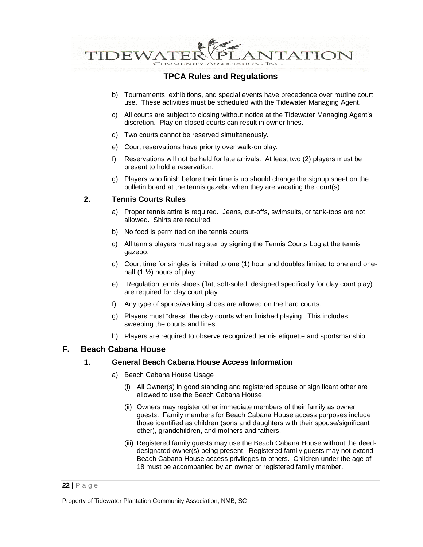

- b) Tournaments, exhibitions, and special events have precedence over routine court use. These activities must be scheduled with the Tidewater Managing Agent.
- c) All courts are subject to closing without notice at the Tidewater Managing Agent's discretion. Play on closed courts can result in owner fines.
- d) Two courts cannot be reserved simultaneously.
- e) Court reservations have priority over walk-on play.
- f) Reservations will not be held for late arrivals. At least two (2) players must be present to hold a reservation.
- g) Players who finish before their time is up should change the signup sheet on the bulletin board at the tennis gazebo when they are vacating the court(s).

### **2. Tennis Courts Rules**

- a) Proper tennis attire is required. Jeans, cut-offs, swimsuits, or tank-tops are not allowed. Shirts are required.
- b) No food is permitted on the tennis courts
- c) All tennis players must register by signing the Tennis Courts Log at the tennis gazebo.
- d) Court time for singles is limited to one (1) hour and doubles limited to one and onehalf  $(1 \frac{1}{2})$  hours of play.
- e) Regulation tennis shoes (flat, soft-soled, designed specifically for clay court play) are required for clay court play.
- f) Any type of sports/walking shoes are allowed on the hard courts.
- g) Players must "dress" the clay courts when finished playing. This includes sweeping the courts and lines.
- h) Players are required to observe recognized tennis etiquette and sportsmanship.

### **F. Beach Cabana House**

#### **1. General Beach Cabana House Access Information**

- a) Beach Cabana House Usage
	- (i) All Owner(s) in good standing and registered spouse or significant other are allowed to use the Beach Cabana House.
	- (ii) Owners may register other immediate members of their family as owner guests. Family members for Beach Cabana House access purposes include those identified as children (sons and daughters with their spouse/significant other), grandchildren, and mothers and fathers.
	- (iii) Registered family guests may use the Beach Cabana House without the deeddesignated owner(s) being present. Registered family guests may not extend Beach Cabana House access privileges to others. Children under the age of 18 must be accompanied by an owner or registered family member.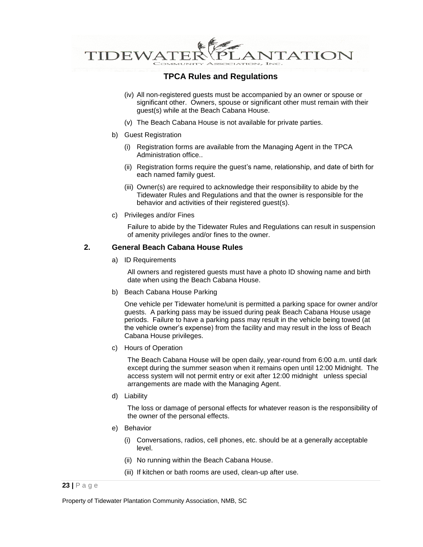

- (iv) All non-registered guests must be accompanied by an owner or spouse or significant other. Owners, spouse or significant other must remain with their guest(s) while at the Beach Cabana House.
- (v) The Beach Cabana House is not available for private parties.
- b) Guest Registration
	- (i) Registration forms are available from the Managing Agent in the TPCA Administration office..
	- (ii) Registration forms require the guest's name, relationship, and date of birth for each named family guest.
	- (iii) Owner(s) are required to acknowledge their responsibility to abide by the Tidewater Rules and Regulations and that the owner is responsible for the behavior and activities of their registered guest(s).
- c) Privileges and/or Fines

Failure to abide by the Tidewater Rules and Regulations can result in suspension of amenity privileges and/or fines to the owner.

#### **2. General Beach Cabana House Rules**

a) ID Requirements

All owners and registered guests must have a photo ID showing name and birth date when using the Beach Cabana House.

b) Beach Cabana House Parking

One vehicle per Tidewater home/unit is permitted a parking space for owner and/or guests. A parking pass may be issued during peak Beach Cabana House usage periods. Failure to have a parking pass may result in the vehicle being towed (at the vehicle owner's expense) from the facility and may result in the loss of Beach Cabana House privileges.

c) Hours of Operation

The Beach Cabana House will be open daily, year-round from 6:00 a.m. until dark except during the summer season when it remains open until 12:00 Midnight. The access system will not permit entry or exit after 12:00 midnight unless special arrangements are made with the Managing Agent.

d) Liability

The loss or damage of personal effects for whatever reason is the responsibility of the owner of the personal effects.

- e) Behavior
	- (i) Conversations, radios, cell phones, etc. should be at a generally acceptable level.
	- (ii) No running within the Beach Cabana House.
	- (iii) If kitchen or bath rooms are used, clean-up after use.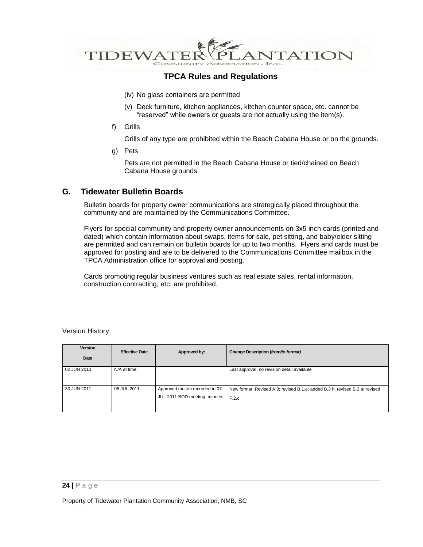

- (iv) No glass containers are permitted
- (v) Deck furniture, kitchen appliances, kitchen counter space, etc. cannot be "reserved" while owners or guests are not actually using the item(s).
- f) Grills

Grills of any type are prohibited within the Beach Cabana House or on the grounds.

g) Pets

Pets are not permitted in the Beach Cabana House or tied/chained on Beach Cabana House grounds.

### **G. Tidewater Bulletin Boards**

Bulletin boards for property owner communications are strategically placed throughout the community and are maintained by the Communications Committee.

Flyers for special community and property owner announcements on 3x5 inch cards (printed and dated) which contain information about swaps, items for sale, pet sitting, and baby/elder sitting are permitted and can remain on bulletin boards for up to two months. Flyers and cards must be approved for posting and are to be delivered to the Communications Committee mailbox in the TPCA Administration office for approval and posting.

Cards promoting regular business ventures such as real estate sales, rental information, construction contracting, etc. are prohibited.

Version History:

| Version<br>Date | <b>Effective Date</b> | Approved by:                                                   | Change Description (from/to format)                                                   |
|-----------------|-----------------------|----------------------------------------------------------------|---------------------------------------------------------------------------------------|
| 02 JUN 2010     | N/A at time           |                                                                | Last approval; no revision detail available                                           |
| 30 JUN 2011     | 08 JUL 2011           | Approved motion recorded in 07<br>JUL 2011 BOD meeting minutes | New format . Revised A.3; revised B.1.e; added B.3 h; revised B.3.a; revised<br>F.2.c |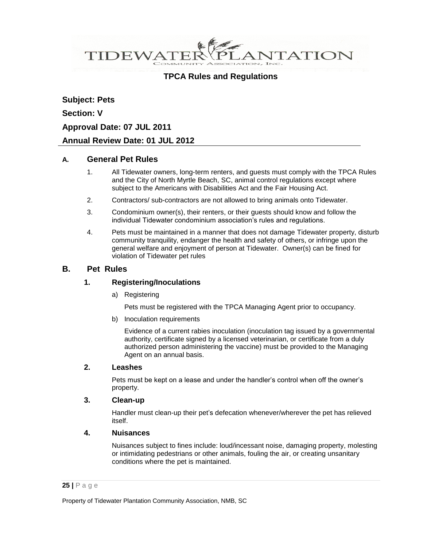ANTATION TIDEWATEF

## **TPCA Rules and Regulations**

**Subject: Pets Section: V Approval Date: 07 JUL 2011 Annual Review Date: 01 JUL 2012**

### **A. General Pet Rules**

- 1. All Tidewater owners, long-term renters, and guests must comply with the TPCA Rules and the City of North Myrtle Beach, SC, animal control regulations except where subject to the Americans with Disabilities Act and the Fair Housing Act.
- 2. Contractors/ sub-contractors are not allowed to bring animals onto Tidewater.
- 3. Condominium owner(s), their renters, or their guests should know and follow the individual Tidewater condominium association's rules and regulations.
- 4. Pets must be maintained in a manner that does not damage Tidewater property, disturb community tranquility, endanger the health and safety of others, or infringe upon the general welfare and enjoyment of person at Tidewater. Owner(s) can be fined for violation of Tidewater pet rules

### **B. Pet Rules**

### **1. Registering/Inoculations**

a) Registering

Pets must be registered with the TPCA Managing Agent prior to occupancy.

b) Inoculation requirements

Evidence of a current rabies inoculation (inoculation tag issued by a governmental authority, certificate signed by a licensed veterinarian, or certificate from a duly authorized person administering the vaccine) must be provided to the Managing Agent on an annual basis.

### **2. Leashes**

Pets must be kept on a lease and under the handler's control when off the owner's property.

### **3. Clean-up**

Handler must clean-up their pet's defecation whenever/wherever the pet has relieved itself.

### **4. Nuisances**

Nuisances subject to fines include: loud/incessant noise, damaging property, molesting or intimidating pedestrians or other animals, fouling the air, or creating unsanitary conditions where the pet is maintained.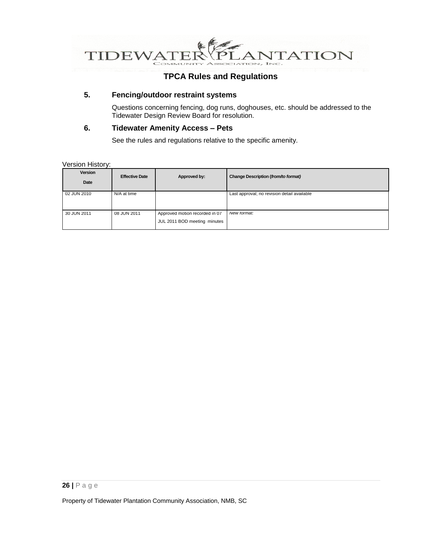

## **5. Fencing/outdoor restraint systems**

Questions concerning fencing, dog runs, doghouses, etc. should be addressed to the Tidewater Design Review Board for resolution.

#### **6. Tidewater Amenity Access – Pets**

See the rules and regulations relative to the specific amenity.

#### Version History:

| Version<br>Date | <b>Effective Date</b> | Approved by:                                                   | Change Description (from/to format)         |
|-----------------|-----------------------|----------------------------------------------------------------|---------------------------------------------|
| 02 JUN 2010     | N/A at time           |                                                                | Last approval; no revision detail available |
| 30 JUN 2011     | 08 JUN 2011           | Approved motion recorded in 07<br>JUL 2011 BOD meeting minutes | New tormat:                                 |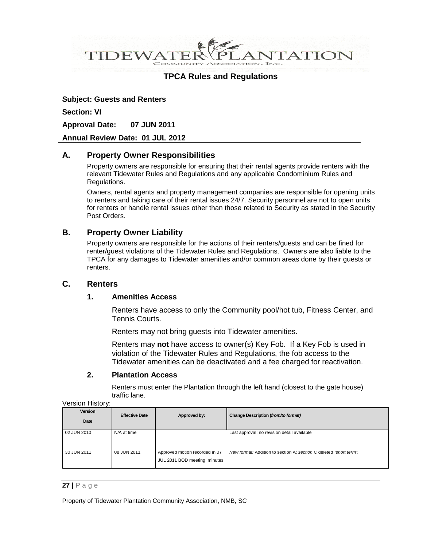**VTATION DEWA** 

### **TPCA Rules and Regulations**

**Subject: Guests and Renters Section: VI**

**Approval Date: 07 JUN 2011**

#### **Annual Review Date: 01 JUL 2012**

### **A. Property Owner Responsibilities**

Property owners are responsible for ensuring that their rental agents provide renters with the relevant Tidewater Rules and Regulations and any applicable Condominium Rules and Regulations.

Owners, rental agents and property management companies are responsible for opening units to renters and taking care of their rental issues 24/7. Security personnel are not to open units for renters or handle rental issues other than those related to Security as stated in the Security Post Orders.

### **B. Property Owner Liability**

Property owners are responsible for the actions of their renters/guests and can be fined for renter/guest violations of the Tidewater Rules and Regulations. Owners are also liable to the TPCA for any damages to Tidewater amenities and/or common areas done by their guests or renters.

### **C. Renters**

### **1. Amenities Access**

Renters have access to only the Community pool/hot tub, Fitness Center, and Tennis Courts.

Renters may not bring guests into Tidewater amenities.

Renters may **not** have access to owner(s) Key Fob. If a Key Fob is used in violation of the Tidewater Rules and Regulations, the fob access to the Tidewater amenities can be deactivated and a fee charged for reactivation.

#### **2. Plantation Access**

Renters must enter the Plantation through the left hand (closest to the gate house) traffic lane.

|  | Version History: |
|--|------------------|
|--|------------------|

| <b>Version</b><br>Date | <b>Effective Date</b> | Approved by:                                                   | Change Description (from/to format)                                |
|------------------------|-----------------------|----------------------------------------------------------------|--------------------------------------------------------------------|
| 02 JUN 2010            | N/A at time           |                                                                | Last approval; no revision detail available                        |
| 30 JUN 2011            | 08 JUN 2011           | Approved motion recorded in 07<br>JUL 2011 BOD meeting minutes | New format: Addition to section A; section C deleted "short term". |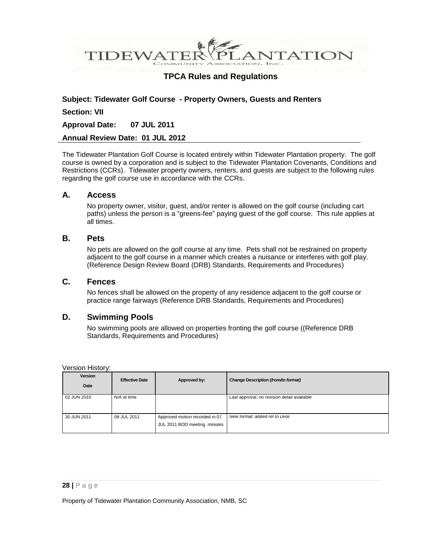**VTATION** TIDEWA

### **TPCA Rules and Regulations**

#### **Subject: Tidewater Golf Course - Property Owners, Guests and Renters**

#### **Section: VII**

**Approval Date: 07 JUL 2011**

#### **Annual Review Date: 01 JUL 2012**

The Tidewater Plantation Golf Course is located entirely within Tidewater Plantation property. The golf course is owned by a corporation and is subject to the Tidewater Plantation Covenants, Conditions and Restrictions (CCRs). Tidewater property owners, renters, and guests are subject to the following rules regarding the golf course use in accordance with the CCRs.

### **A. Access**

No property owner, visitor, guest, and/or renter is allowed on the golf course (including cart paths) unless the person is a "greens-fee" paying guest of the golf course. This rule applies at all times.

#### **B. Pets**

No pets are allowed on the golf course at any time. Pets shall not be restrained on property adjacent to the golf course in a manner which creates a nuisance or interferes with golf play. (Reference Design Review Board (DRB) Standards, Requirements and Procedures)

### **C. Fences**

No fences shall be allowed on the property of any residence adjacent to the golf course or practice range fairways (Reference DRB Standards, Requirements and Procedures)

### **D. Swimming Pools**

No swimming pools are allowed on properties fronting the golf course ((Reference DRB Standards, Requirements and Procedures)

Version History:

| <b>Version</b><br>Date | <b>Effective Date</b> | Approved by:                                                   | Change Description (from/to format)         |
|------------------------|-----------------------|----------------------------------------------------------------|---------------------------------------------|
| 02 JUN 2010            | N/A at time           |                                                                | Last approval; no revision detail available |
| 30 JUN 2011            | 08 JUL 2011           | Approved motion recorded in 07<br>JUL 2011 BOD meeting minutes | New format: added ref to DRB                |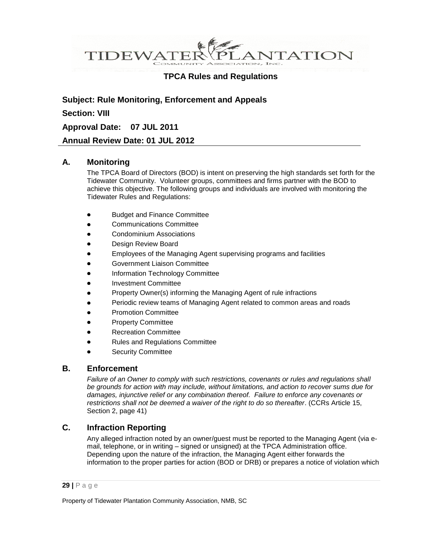ANTATION TIDEWATEF

## **TPCA Rules and Regulations**

**Subject: Rule Monitoring, Enforcement and Appeals Section: VIII Approval Date: 07 JUL 2011 Annual Review Date: 01 JUL 2012**

### **A. Monitoring**

The TPCA Board of Directors (BOD) is intent on preserving the high standards set forth for the Tidewater Community. Volunteer groups, committees and firms partner with the BOD to achieve this objective. The following groups and individuals are involved with monitoring the Tidewater Rules and Regulations:

- Budget and Finance Committee
- Communications Committee
- Condominium Associations
- Design Review Board
- Employees of the Managing Agent supervising programs and facilities
- Government Liaison Committee
- Information Technology Committee
- Investment Committee
- Property Owner(s) informing the Managing Agent of rule infractions
- Periodic review teams of Managing Agent related to common areas and roads
- Promotion Committee
- Property Committee
- Recreation Committee
- Rules and Regulations Committee
- Security Committee

### **B. Enforcement**

*Failure of an Owner to comply with such restrictions, covenants or rules and regulations shall be grounds for action with may include, without limitations, and action to recover sums due for damages, injunctive relief or any combination thereof. Failure to enforce any covenants or restrictions shall not be deemed a waiver of the right to do so thereafter*. (CCRs Article 15, Section 2, page 41)

### **C. Infraction Reporting**

Any alleged infraction noted by an owner/guest must be reported to the Managing Agent (via email, telephone, or in writing – signed or unsigned) at the TPCA Administration office. Depending upon the nature of the infraction, the Managing Agent either forwards the information to the proper parties for action (BOD or DRB) or prepares a notice of violation which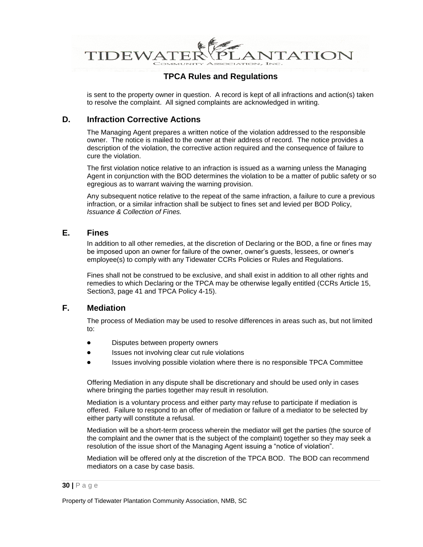ANTATION **TIDEWAT** 

## **TPCA Rules and Regulations**

is sent to the property owner in question. A record is kept of all infractions and action(s) taken to resolve the complaint. All signed complaints are acknowledged in writing.

## **D. Infraction Corrective Actions**

The Managing Agent prepares a written notice of the violation addressed to the responsible owner. The notice is mailed to the owner at their address of record. The notice provides a description of the violation, the corrective action required and the consequence of failure to cure the violation.

The first violation notice relative to an infraction is issued as a warning unless the Managing Agent in conjunction with the BOD determines the violation to be a matter of public safety or so egregious as to warrant waiving the warning provision.

Any subsequent notice relative to the repeat of the same infraction, a failure to cure a previous infraction, or a similar infraction shall be subject to fines set and levied per BOD Policy, *Issuance & Collection of Fines.*

### **E. Fines**

In addition to all other remedies, at the discretion of Declaring or the BOD, a fine or fines may be imposed upon an owner for failure of the owner, owner's guests, lessees, or owner's employee(s) to comply with any Tidewater CCRs Policies or Rules and Regulations.

Fines shall not be construed to be exclusive, and shall exist in addition to all other rights and remedies to which Declaring or the TPCA may be otherwise legally entitled (CCRs Article 15, Section3, page 41 and TPCA Policy 4-15).

### **F. Mediation**

The process of Mediation may be used to resolve differences in areas such as, but not limited to:

- Disputes between property owners
- Issues not involving clear cut rule violations
- Issues involving possible violation where there is no responsible TPCA Committee

Offering Mediation in any dispute shall be discretionary and should be used only in cases where bringing the parties together may result in resolution.

Mediation is a voluntary process and either party may refuse to participate if mediation is offered. Failure to respond to an offer of mediation or failure of a mediator to be selected by either party will constitute a refusal.

Mediation will be a short-term process wherein the mediator will get the parties (the source of the complaint and the owner that is the subject of the complaint) together so they may seek a resolution of the issue short of the Managing Agent issuing a "notice of violation".

Mediation will be offered only at the discretion of the TPCA BOD. The BOD can recommend mediators on a case by case basis.

#### **30 |** P a g e